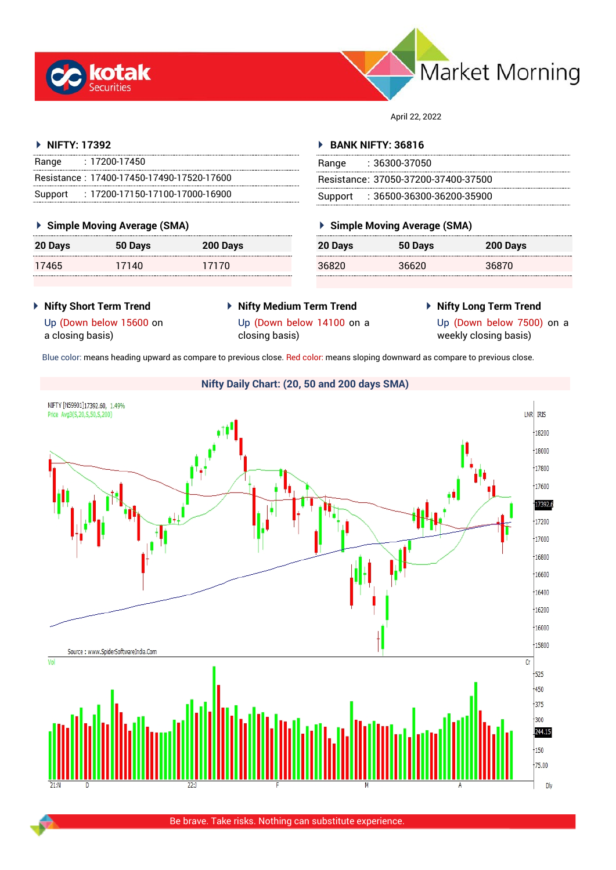



April 22, 2022

#### **NIFTY: 17392**

| Range   | : 17200-17450                             |
|---------|-------------------------------------------|
|         | Resistance: 17400-17450-17490-17520-17600 |
| Support | $: 17200$ -17150-17100-17000-16900        |

#### **Simple Moving Average (SMA)**

| 20 Days | 50 Days | 200 Days |
|---------|---------|----------|
| 17465   | 17140   | 17170    |

#### **BANK NIFTY: 36816**

| Range | : 36300-37050                       |
|-------|-------------------------------------|
|       | Resistance: 37050-37200-37400-37500 |
|       | Support: : 36500-36300-36200-35900  |

### **Simple Moving Average (SMA)**

| 20 Days | 50 Days | 200 Days |
|---------|---------|----------|
| 36820   | 36620   | 36870    |

- **Nifty Short Term Trend** Up (Down below 15600 on
- **Nifty Medium Term Trend** Up (Down below 14100 on a
- **Nifty Long Term Trend**

a closing basis)

- closing basis)
- Up (Down below 7500) on a weekly closing basis)

Blue color: means heading upward as compare to previous close. Red color: means sloping downward as compare to previous close.

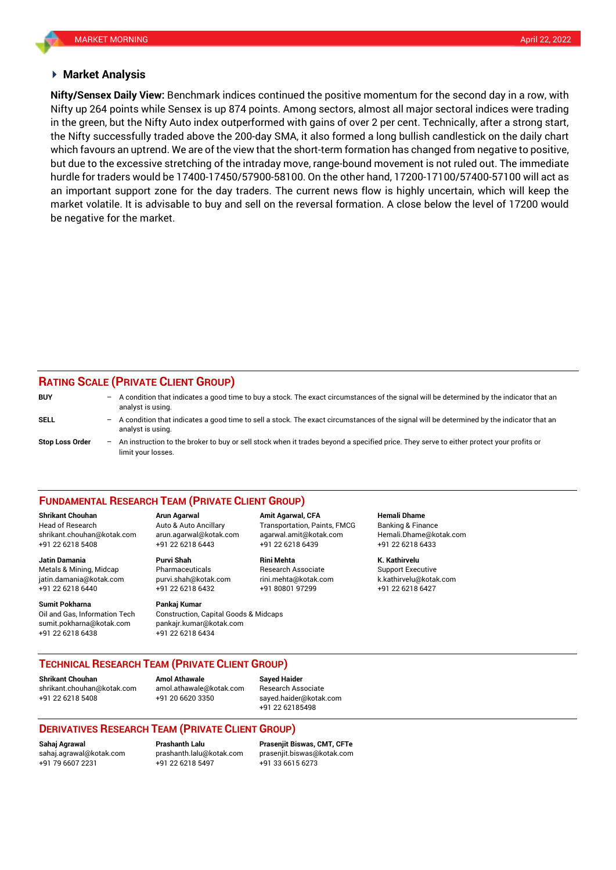#### **Market Analysis**

Nifty up 264 points while Sensex is up 874 points. Among sectors, almost all major sectoral indices were trading **Nifty/Sensex Daily View:** Benchmark indices continued the positive momentum for the second day in a row, with in the green, but the Nifty Auto index outperformed with gains of over 2 per cent. Technically, after a strong start, the Nifty successfully traded above the 200-day SMA, it also formed a long bullish candlestick on the daily chart which favours an uptrend. We are of the view that the short-term formation has changed from negative to positive, but due to the excessive stretching of the intraday move, range-bound movement is not ruled out. The immediate hurdle for traders would be 17400-17450/57900-58100. On the other hand, 17200-17100/57400-57100 will act as an important support zone for the day traders. The current news flow is highly uncertain, which will keep the market volatile. It is advisable to buy and sell on the reversal formation. A close below the level of 17200 would be negative for the market.

## **RATING SCALE (PRIVATE CLIENT GROUP)**

| <b>BUY</b>      | $\overline{\phantom{0}}$ | A condition that indicates a good time to buy a stock. The exact circumstances of the signal will be determined by the indicator that an<br>analyst is using.  |
|-----------------|--------------------------|----------------------------------------------------------------------------------------------------------------------------------------------------------------|
| SELL            | -                        | A condition that indicates a good time to sell a stock. The exact circumstances of the signal will be determined by the indicator that an<br>analyst is using. |
| Stop Loss Order | $\overline{\phantom{0}}$ | An instruction to the broker to buy or sell stock when it trades beyond a specified price. They serve to either protect your profits or<br>limit your losses.  |

#### **FUNDAMENTAL RESEARCH TEAM (PRIVATE CLIENT GROUP)**

Head of Research Auto & Auto Ancillary Transportation, Paints, FMCG Banking & Finance [shrikant.chouhan@kotak.com](mailto:shrikant.chouhan@kotak.com) arun.agarwal@kotak.com agarwal.amit@kotak.com Hemali.Dhame@kotak.com

**Jatin Damania Purvi Shah Rini Mehta K. Kathirvelu** Metals & Mining, Midcap Pharmaceuticals Research Associate Support Executive jatin.damania@kotak.com [purvi.shah@kotak.com](mailto:purvi.shah@kotak.com) rini.mehta@kotak.com [k.kathirvelu@kotak.com](mailto:k.kathirvelu@kotak.com) +91 22 6218 6440 +91 22 6218 6432 +91 80801 97299 +91 22 6218 6427

Oil and Gas, Information Tech Construction, Capital Goods & Midcaps sumit.pokharna@kotak.com pankajr.kumar@kotak.com

+91 22 6218 5408 +91 22 6218 6443 +91 22 6218 6439 +91 22 6218 6433

# **Sumit Pokharna** Pankaj Kumar

+91 22 6218 6438 +91 22 6218 6434

**Shrikant Chouhan Arun Agarwal Amit Agarwal, CFA Hemali Dhame**

#### **TECHNICAL RESEARCH TEAM (PRIVATE CLIENT GROUP)**

**Shrikant Chouhan Amol Athawale Sayed Haider**

[shrikant.chouhan@kotak.com](mailto:shrikant.chouhan@kotak.com) [amol.athawale@kotak.com](mailto:amol.athawale@kotak.com) Research Associate +91 22 6218 5408 +91 20 6620 3350 [sayed.haider@kotak.com](mailto:sayed.haider@kotak.com)

+91 22 62185498

#### **DERIVATIVES RESEARCH TEAM (PRIVATE CLIENT GROUP)**

+91 22 6218 5497 +91 33 6615 6273

**Sahaj Agrawal Prashanth Lalu Prasenjit Biswas, CMT, CFTe** [sahaj.agrawal@kotak.com](mailto:sahaj.agrawal@kotak.com) [prashanth.lalu@kotak.com](mailto:prashanth.lalu@kotak.com) [prasenjit.biswas@kotak.com](mailto:prasenjit.biswas@kotak.com)